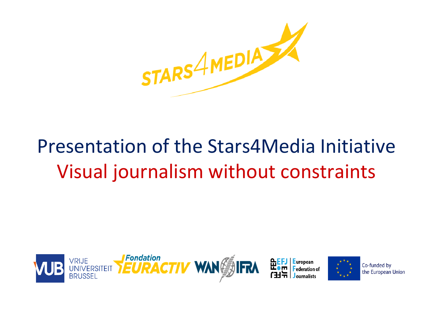

# Presentation of the Stars4Media Initiative Visual journalism without constraints



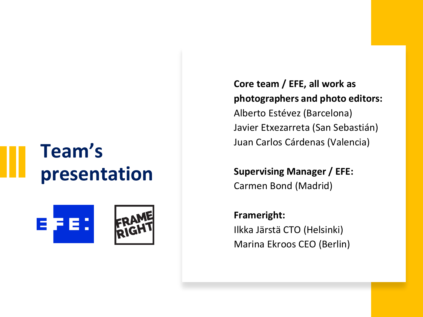## **Team's presentation**



**Core team / EFE, all work as photographers and photo editors:**  Alberto Estévez (Barcelona) Javier Etxezarreta (San Sebastián) Juan Carlos Cárdenas (Valencia)

**Supervising Manager / EFE:**  Carmen Bond (Madrid)

**Frameright:**  Ilkka Järstä CTO (Helsinki) Marina Ekroos CEO (Berlin)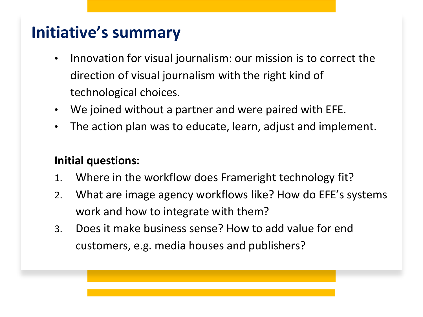## **Initiative's summary**

- Innovation for visual journalism: our mission is to correct the direction of visual journalism with the right kind of technological choices.
- We joined without a partner and were paired with EFE.
- The action plan was to educate, learn, adjust and implement.

#### **Initial questions:**

- 1. Where in the workflow does Frameright technology fit?
- 2. What are image agency workflows like? How do EFE's systems work and how to integrate with them?
- 3. Does it make business sense? How to add value for end customers, e.g. media houses and publishers?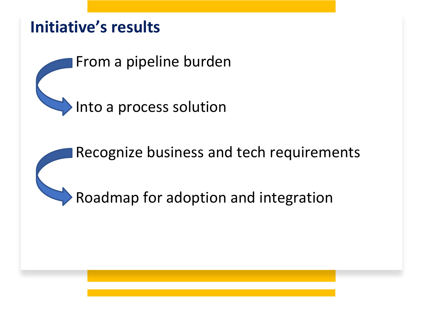## **Initiative's results**

From a pipeline burden

Into a process solution

Recognize business and tech requirements

Roadmap for adoption and integration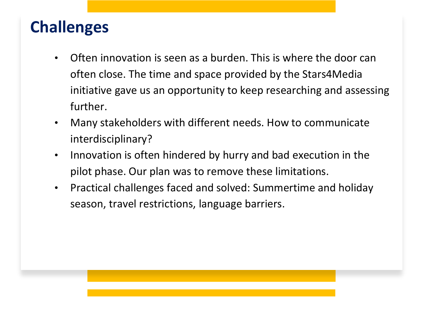### **Challenges**

- Often innovation is seen as a burden. This is where the door can often close. The time and space provided by the Stars4Media initiative gave us an opportunity to keep researching and assessing further.
- Many stakeholders with different needs. How to communicate interdisciplinary?
- Innovation is often hindered by hurry and bad execution in the pilot phase. Our plan was to remove these limitations.
- Practical challenges faced and solved: Summertime and holiday season, travel restrictions, language barriers.